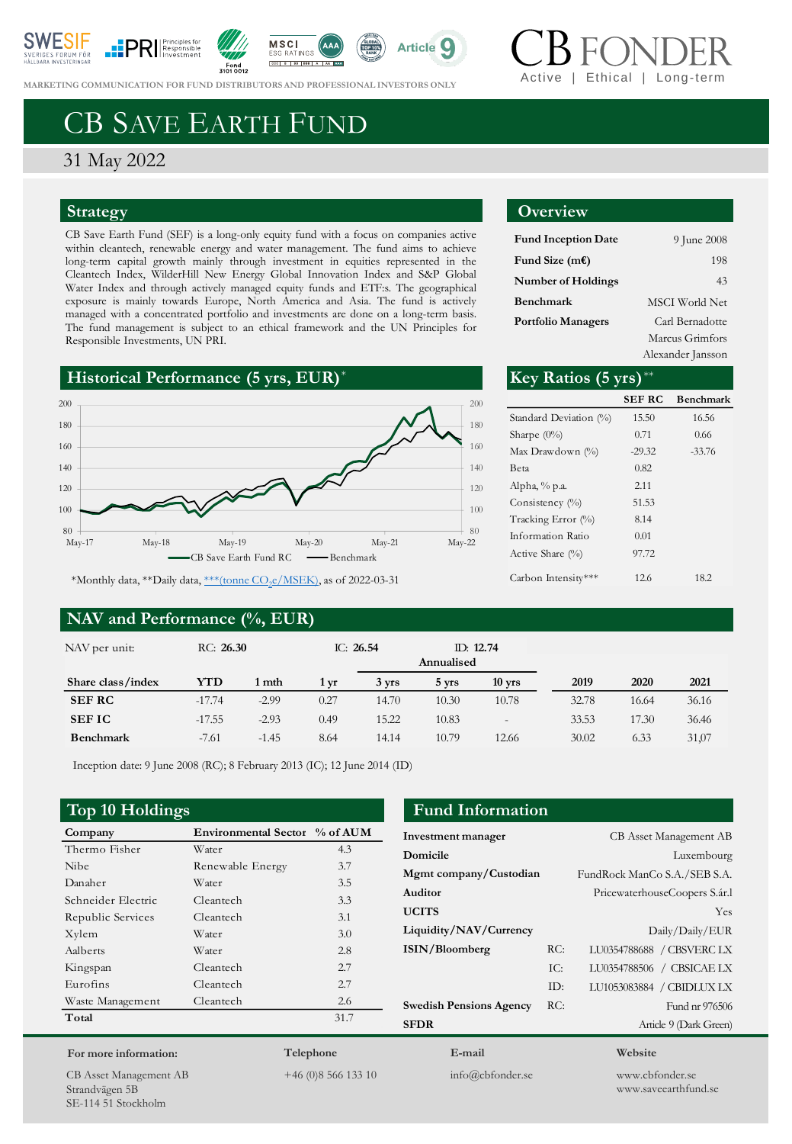









**MARKETING COMMUNICATION FOR FUN[D DISTRIBUT](https://www.svanen.se/en/funds/save-in-funds/)ORS AND PROFESSIONAL INVESTORS ONLY** 



# CB SAVE EARTH FUND

31 May 2022

### **Strategy**

CB Save Earth Fund (SEF) is a long-only equity fund with a focus on companies active within cleantech, renewable energy and water management. The fund aims to achieve long-term capital growth mainly through investment in equities represented in the Cleantech Index, WilderHill New Energy Global Innovation Index and S&P Global Water Index and through actively managed equity funds and ETF:s. The geographical exposure is mainly towards Europe, North America and Asia. The fund is actively managed with a concentrated portfolio and investments are done on a long-term basis. The fund management is subject to an ethical framework and the UN Principles for Responsible Investments, UN PRI.





\*Monthly data, \*\*Daily data, <u>\*\*\*(tonne CO<sub>2</sub>e/MSEK</u>), as of 2022-03-31

### **NAV and Performance (%, EUR)**

### **Overview**

| <b>Fund Inception Date</b> | 9 June 2008     |
|----------------------------|-----------------|
| Fund Size (m€)             | 198             |
| <b>Number of Holdings</b>  | 43              |
| Benchmark                  | MSCI World Net  |
| <b>Portfolio Managers</b>  | Carl Bernadotte |
|                            | Marcus Grimfors |
|                            |                 |

Alexander Jansson

| Key Ratios $(5 \text{ yrs})^{**}$ |               |                  |  |
|-----------------------------------|---------------|------------------|--|
|                                   | <b>SEF RC</b> | <b>Benchmark</b> |  |
| Standard Deviation (%)            | 15.50         | 16.56            |  |
| Sharpe $(0\%)$                    | 0.71          | 0.66             |  |
| Max Drawdown (%)                  | $-29.32$      | $-33.76$         |  |
| Beta                              | 0.82          |                  |  |
| Alpha, % p.a.                     | 2.11          |                  |  |
| Consistency $(\%)$                | 51.53         |                  |  |
| Tracking Error (%)                | 8.14          |                  |  |
| Information Ratio                 | 0.01          |                  |  |
| Active Share $(\%)$               | 97.72         |                  |  |
| Carbon Intensity***               | 12.6          | 18.2             |  |
|                                   |               |                  |  |

| NAV per unit:     | RC: 26.30 |         | IC: $26.54$ |       | ID: 12.74<br>Annualised |                          |       |       |       |
|-------------------|-----------|---------|-------------|-------|-------------------------|--------------------------|-------|-------|-------|
| Share class/index | YTD       | 1 mth   | 1 vr        | 3 yrs | 5 vrs                   | $10$ yrs                 | 2019  | 2020  | 2021  |
| <b>SEF RC</b>     | $-17.74$  | $-2.99$ | 0.27        | 14.70 | 10.30                   | 10.78                    | 32.78 | 16.64 | 36.16 |
| <b>SEFIC</b>      | $-17.55$  | $-2.93$ | 0.49        | 15.22 | 10.83                   | $\overline{\phantom{a}}$ | 33.53 | 17.30 | 36.46 |
| <b>Benchmark</b>  | $-7.61$   | $-1.45$ | 8.64        | 14.14 | 10.79                   | 12.66                    | 30.02 | 6.33  | 31,07 |

Inception date: 9 June 2008 (RC); 8 February 2013 (IC); 12 June 2014 (ID)

| Company            | Environmental Sector % of AUM |      |
|--------------------|-------------------------------|------|
| Thermo Fisher      | Water                         | 4.3  |
| <b>Nibe</b>        | Renewable Energy              | 3.7  |
| Danaher            | Water                         | 3.5  |
| Schneider Electric | Cleantech                     | 3.3  |
| Republic Services  | Cleantech                     | 3.1  |
| Xylem              | Water                         | 3.0  |
| Aalberts           | Water                         | 2.8  |
| Kingspan           | Cleantech                     | 2.7  |
| Eurofins           | Cleantech                     | 2.7  |
| Waste Management   | Cleantech                     | 2.6  |
| Total              |                               | 31.7 |
|                    |                               |      |

## **Top 10 Holdings Fund Information**

| Investment manager             |       | <b>CB</b> Asset Management AB |
|--------------------------------|-------|-------------------------------|
| Domicile                       |       | Luxembourg                    |
| Mgmt company/Custodian         |       | FundRock ManCo S.A./SEB S.A.  |
| Auditor                        |       | PricewaterhouseCoopers S.ár.l |
| <b>UCITS</b>                   |       | Yes                           |
| Liquidity/NAV/Currency         |       | Daily/Daily/EUR               |
| ISIN/Bloomberg                 | RC:   | LU0354788688 / CBSVERC LX     |
|                                | IC:   | LU0354788506 / CBSICAE LX     |
|                                | $ID+$ | LU1053083884 / CBIDLUX LX     |
| <b>Swedish Pensions Agency</b> | RC:   | Fund nr 976506                |
| <b>SFDR</b>                    |       | Article 9 (Dark Green)        |
| E-mail                         |       | Website                       |

CB Asset Management AB Strandvägen 5B SE-114 51 Stockholm

**For more information:**

**Telephone** +46 (0)8 566 133 10

info@cbfonder.se

www.cbfonder.se www.saveearthfund.se